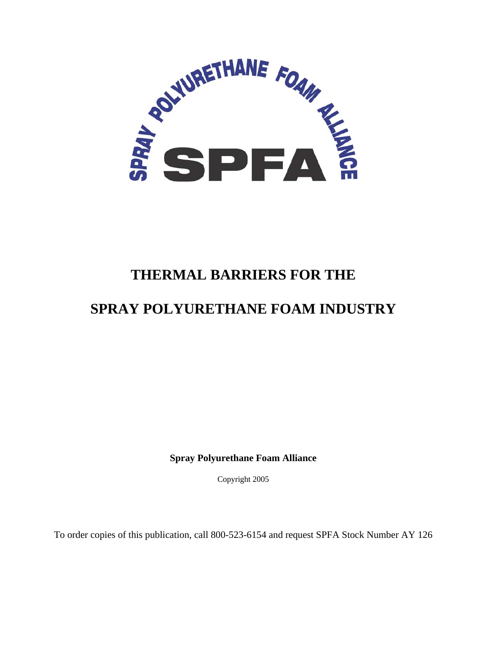

# **THERMAL BARRIERS FOR THE**

# **SPRAY POLYURETHANE FOAM INDUSTRY**

**Spray Polyurethane Foam Alliance**

Copyright 2005

To order copies of this publication, call 800-523-6154 and request SPFA Stock Number AY 126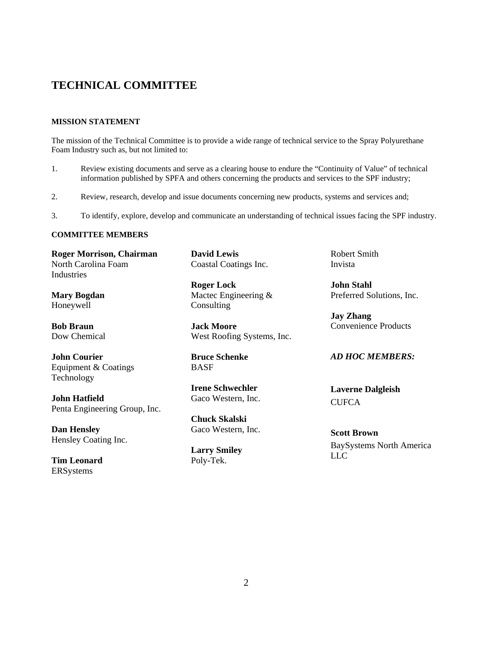# **TECHNICAL COMMITTEE**

## **MISSION STATEMENT**

The mission of the Technical Committee is to provide a wide range of technical service to the Spray Polyurethane Foam Industry such as, but not limited to:

- 1. Review existing documents and serve as a clearing house to endure the "Continuity of Value" of technical information published by SPFA and others concerning the products and services to the SPF industry;
- 2. Review, research, develop and issue documents concerning new products, systems and services and;
- 3. To identify, explore, develop and communicate an understanding of technical issues facing the SPF industry.

### **COMMITTEE MEMBERS**

**Roger Morrison, Chairman**  North Carolina Foam Industries

**Mary Bogdan**  Honeywell

**Bob Braun**  Dow Chemical

**John Courier**  Equipment & Coatings Technology

**John Hatfield** Penta Engineering Group, Inc.

**Dan Hensley**  Hensley Coating Inc.

**Tim Leonard**  ERSystems

**David Lewis** Coastal Coatings Inc.

**Roger Lock**  Mactec Engineering & **Consulting** 

**Jack Moore**  West Roofing Systems, Inc.

**Bruce Schenke**  BASF

**Irene Schwechler**  Gaco Western, Inc.

**Chuck Skalski**  Gaco Western, Inc.

**Larry Smiley**  Poly-Tek.

Robert Smith Invista

**John Stahl**  Preferred Solutions, Inc.

**Jay Zhang**  Convenience Products

# *AD HOC MEMBERS:*

**Laverne Dalgleish CUFCA** 

**Scott Brown**  BaySystems North America LLC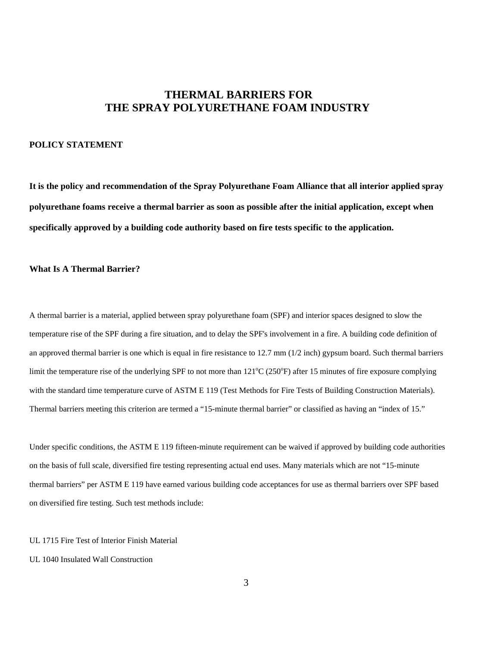# **THERMAL BARRIERS FOR THE SPRAY POLYURETHANE FOAM INDUSTRY**

## **POLICY STATEMENT**

**It is the policy and recommendation of the Spray Polyurethane Foam Alliance that all interior applied spray polyurethane foams receive a thermal barrier as soon as possible after the initial application, except when specifically approved by a building code authority based on fire tests specific to the application.** 

## **What Is A Thermal Barrier?**

A thermal barrier is a material, applied between spray polyurethane foam (SPF) and interior spaces designed to slow the temperature rise of the SPF during a fire situation, and to delay the SPF's involvement in a fire. A building code definition of an approved thermal barrier is one which is equal in fire resistance to  $12.7 \text{ mm } (1/2 \text{ inch})$  gypsum board. Such thermal barriers limit the temperature rise of the underlying SPF to not more than  $121^{\circ}C(250^{\circ}F)$  after 15 minutes of fire exposure complying with the standard time temperature curve of ASTM E 119 (Test Methods for Fire Tests of Building Construction Materials). Thermal barriers meeting this criterion are termed a "15-minute thermal barrier" or classified as having an "index of 15."

Under specific conditions, the ASTM E 119 fifteen-minute requirement can be waived if approved by building code authorities on the basis of full scale, diversified fire testing representing actual end uses. Many materials which are not "15-minute thermal barriers" per ASTM E 119 have earned various building code acceptances for use as thermal barriers over SPF based on diversified fire testing. Such test methods include:

#### UL 1715 Fire Test of Interior Finish Material

#### UL 1040 Insulated Wall Construction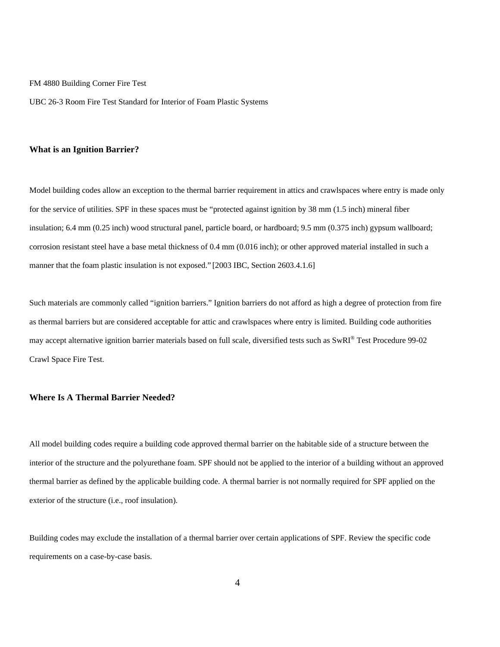FM 4880 Building Corner Fire Test

UBC 26-3 Room Fire Test Standard for Interior of Foam Plastic Systems

#### **What is an Ignition Barrier?**

Model building codes allow an exception to the thermal barrier requirement in attics and crawlspaces where entry is made only for the service of utilities. SPF in these spaces must be "protected against ignition by 38 mm (1.5 inch) mineral fiber insulation; 6.4 mm (0.25 inch) wood structural panel, particle board, or hardboard; 9.5 mm (0.375 inch) gypsum wallboard; corrosion resistant steel have a base metal thickness of 0.4 mm (0.016 inch); or other approved material installed in such a manner that the foam plastic insulation is not exposed." [2003 IBC, Section 2603.4.1.6]

Such materials are commonly called "ignition barriers." Ignition barriers do not afford as high a degree of protection from fire as thermal barriers but are considered acceptable for attic and crawlspaces where entry is limited. Building code authorities may accept alternative ignition barrier materials based on full scale, diversified tests such as SwRI® Test Procedure 99-02 Crawl Space Fire Test.

#### **Where Is A Thermal Barrier Needed?**

All model building codes require a building code approved thermal barrier on the habitable side of a structure between the interior of the structure and the polyurethane foam. SPF should not be applied to the interior of a building without an approved thermal barrier as defined by the applicable building code. A thermal barrier is not normally required for SPF applied on the exterior of the structure (i.e., roof insulation).

Building codes may exclude the installation of a thermal barrier over certain applications of SPF. Review the specific code requirements on a case-by-case basis.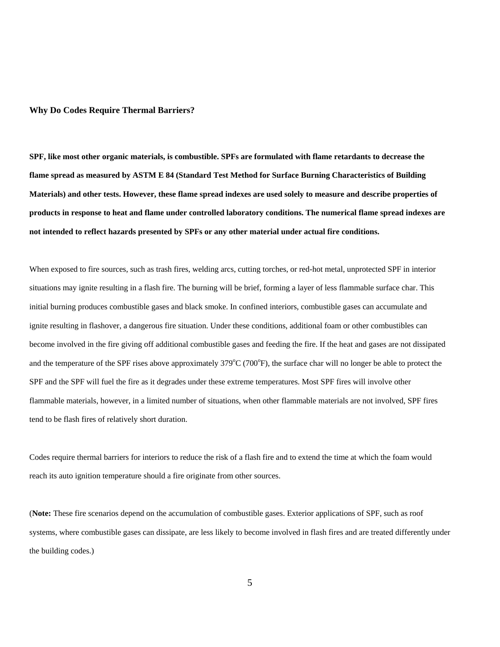#### **Why Do Codes Require Thermal Barriers?**

**SPF, like most other organic materials, is combustible. SPFs are formulated with flame retardants to decrease the flame spread as measured by ASTM E 84 (Standard Test Method for Surface Burning Characteristics of Building Materials) and other tests. However, these flame spread indexes are used solely to measure and describe properties of products in response to heat and flame under controlled laboratory conditions. The numerical flame spread indexes are not intended to reflect hazards presented by SPFs or any other material under actual fire conditions.**

When exposed to fire sources, such as trash fires, welding arcs, cutting torches, or red-hot metal, unprotected SPF in interior situations may ignite resulting in a flash fire. The burning will be brief, forming a layer of less flammable surface char. This initial burning produces combustible gases and black smoke. In confined interiors, combustible gases can accumulate and ignite resulting in flashover, a dangerous fire situation. Under these conditions, additional foam or other combustibles can become involved in the fire giving off additional combustible gases and feeding the fire. If the heat and gases are not dissipated and the temperature of the SPF rises above approximately  $379^{\circ}C(700^{\circ}F)$ , the surface char will no longer be able to protect the SPF and the SPF will fuel the fire as it degrades under these extreme temperatures. Most SPF fires will involve other flammable materials, however, in a limited number of situations, when other flammable materials are not involved, SPF fires tend to be flash fires of relatively short duration.

Codes require thermal barriers for interiors to reduce the risk of a flash fire and to extend the time at which the foam would reach its auto ignition temperature should a fire originate from other sources.

(**Note:** These fire scenarios depend on the accumulation of combustible gases. Exterior applications of SPF, such as roof systems, where combustible gases can dissipate, are less likely to become involved in flash fires and are treated differently under the building codes.)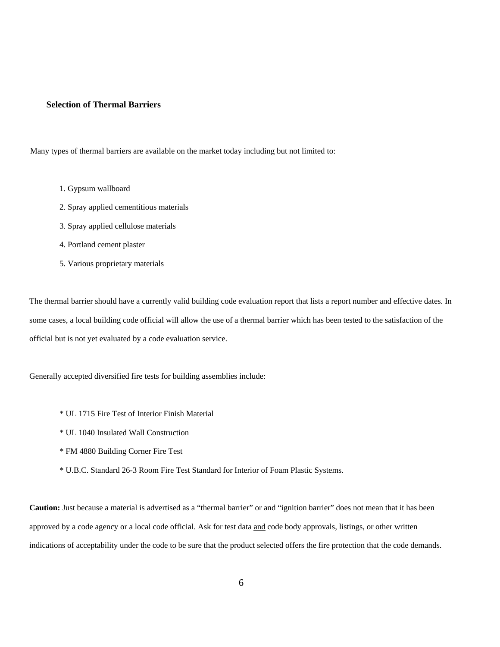#### **Selection of Thermal Barriers**

Many types of thermal barriers are available on the market today including but not limited to:

- 1. Gypsum wallboard
- 2. Spray applied cementitious materials
- 3. Spray applied cellulose materials
- 4. Portland cement plaster
- 5. Various proprietary materials

The thermal barrier should have a currently valid building code evaluation report that lists a report number and effective dates. In some cases, a local building code official will allow the use of a thermal barrier which has been tested to the satisfaction of the official but is not yet evaluated by a code evaluation service.

Generally accepted diversified fire tests for building assemblies include:

- \* UL 1715 Fire Test of Interior Finish Material
- \* UL 1040 Insulated Wall Construction
- \* FM 4880 Building Corner Fire Test
- \* U.B.C. Standard 26-3 Room Fire Test Standard for Interior of Foam Plastic Systems.

**Caution:** Just because a material is advertised as a "thermal barrier" or and "ignition barrier" does not mean that it has been approved by a code agency or a local code official. Ask for test data and code body approvals, listings, or other written indications of acceptability under the code to be sure that the product selected offers the fire protection that the code demands.